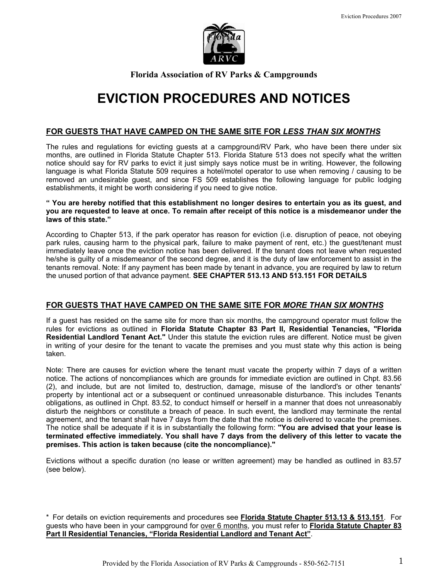

**Florida Association of RV Parks & Campgrounds** 

# **EVICTION PROCEDURES AND NOTICES**

# **FOR GUESTS THAT HAVE CAMPED ON THE SAME SITE FOR** *LESS THAN SIX MONTHS*

The rules and regulations for evicting guests at a campground/RV Park, who have been there under six months, are outlined in Florida Statute Chapter 513. Florida Stature 513 does not specify what the written notice should say for RV parks to evict it just simply says notice must be in writing. However, the following language is what Florida Statute 509 requires a hotel/motel operator to use when removing / causing to be removed an undesirable guest, and since FS 509 establishes the following language for public lodging establishments, it might be worth considering if you need to give notice.

## **" You are hereby notified that this establishment no longer desires to entertain you as its guest, and you are requested to leave at once. To remain after receipt of this notice is a misdemeanor under the laws of this state."**

According to Chapter 513, if the park operator has reason for eviction (i.e. disruption of peace, not obeying park rules, causing harm to the physical park, failure to make payment of rent, etc.) the guest/tenant must immediately leave once the eviction notice has been delivered. If the tenant does not leave when requested he/she is guilty of a misdemeanor of the second degree, and it is the duty of law enforcement to assist in the tenants removal. Note: If any payment has been made by tenant in advance, you are required by law to return the unused portion of that advance payment. **SEE CHAPTER 513.13 AND 513.151 FOR DETAILS** 

# **FOR GUESTS THAT HAVE CAMPED ON THE SAME SITE FOR** *MORE THAN SIX MONTHS*

If a guest has resided on the same site for more than six months, the campground operator must follow the rules for evictions as outlined in **Florida Statute Chapter 83 Part II, Residential Tenancies, "Florida Residential Landlord Tenant Act."** Under this statute the eviction rules are different. Notice must be given in writing of your desire for the tenant to vacate the premises and you must state why this action is being taken.

Note: There are causes for eviction where the tenant must vacate the property within 7 days of a written notice. The actions of noncompliances which are grounds for immediate eviction are outlined in Chpt. 83.56 (2), and include, but are not limited to, destruction, damage, misuse of the landlord's or other tenants' property by intentional act or a subsequent or continued unreasonable disturbance. This includes Tenants obligations, as outlined in Chpt. 83.52, to conduct himself or herself in a manner that does not unreasonably disturb the neighbors or constitute a breach of peace. In such event, the landlord may terminate the rental agreement, and the tenant shall have 7 days from the date that the notice is delivered to vacate the premises. The notice shall be adequate if it is in substantially the following form: **"You are advised that your lease is terminated effective immediately. You shall have 7 days from the delivery of this letter to vacate the premises. This action is taken because (cite the noncompliance)."** 

Evictions without a specific duration (no lease or written agreement) may be handled as outlined in 83.57 (see below).

\* For details on eviction requirements and procedures see **Florida Statute Chapter 513.13 & 513.151**. For guests who have been in your campground for over 6 months, you must refer to **Florida Statute Chapter 83 Part II Residential Tenancies, "Florida Residential Landlord and Tenant Act"**.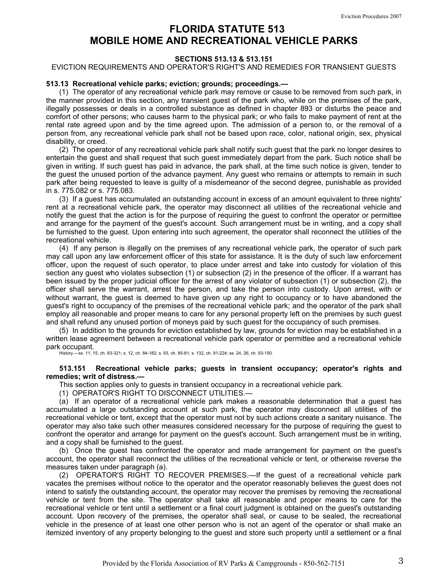# **FLORIDA STATUTE 513 MOBILE HOME AND RECREATIONAL VEHICLE PARKS**

# **SECTIONS 513.13 & 513.151**

# EVICTION REQUIREMENTS AND OPERATOR'S RIGHT'S AND REMEDIES FOR TRANSIENT GUESTS

### **513.13 Recreational vehicle parks; eviction; grounds; proceedings.—**

 (1) The operator of any recreational vehicle park may remove or cause to be removed from such park, in the manner provided in this section, any transient guest of the park who, while on the premises of the park, illegally possesses or deals in a controlled substance as defined in chapter 893 or disturbs the peace and comfort of other persons; who causes harm to the physical park; or who fails to make payment of rent at the rental rate agreed upon and by the time agreed upon. The admission of a person to, or the removal of a person from, any recreational vehicle park shall not be based upon race, color, national origin, sex, physical disability, or creed.

 (2) The operator of any recreational vehicle park shall notify such guest that the park no longer desires to entertain the guest and shall request that such guest immediately depart from the park. Such notice shall be given in writing. If such guest has paid in advance, the park shall, at the time such notice is given, tender to the guest the unused portion of the advance payment. Any guest who remains or attempts to remain in such park after being requested to leave is guilty of a misdemeanor of the second degree, punishable as provided in s. 775.082 or s. 775.083.

 (3) If a guest has accumulated an outstanding account in excess of an amount equivalent to three nights' rent at a recreational vehicle park, the operator may disconnect all utilities of the recreational vehicle and notify the guest that the action is for the purpose of requiring the guest to confront the operator or permittee and arrange for the payment of the guest's account. Such arrangement must be in writing, and a copy shall be furnished to the guest. Upon entering into such agreement, the operator shall reconnect the utilities of the recreational vehicle.

 (4) If any person is illegally on the premises of any recreational vehicle park, the operator of such park may call upon any law enforcement officer of this state for assistance. It is the duty of such law enforcement officer, upon the request of such operator, to place under arrest and take into custody for violation of this section any guest who violates subsection (1) or subsection (2) in the presence of the officer. If a warrant has been issued by the proper judicial officer for the arrest of any violator of subsection (1) or subsection (2), the officer shall serve the warrant, arrest the person, and take the person into custody. Upon arrest, with or without warrant, the guest is deemed to have given up any right to occupancy or to have abandoned the guest's right to occupancy of the premises of the recreational vehicle park; and the operator of the park shall employ all reasonable and proper means to care for any personal property left on the premises by such guest and shall refund any unused portion of moneys paid by such guest for the occupancy of such premises.

 (5) In addition to the grounds for eviction established by law, grounds for eviction may be established in a written lease agreement between a recreational vehicle park operator or permittee and a recreational vehicle park occupant.

History.—ss. 11, 15, ch. 83-321; s. 12, ch. 84-182; s. 93, ch. 85-81; s. 132, ch. 91-224; ss. 24, 26, ch. 93-150.

### **513.151 Recreational vehicle parks; guests in transient occupancy; operator's rights and remedies; writ of distress.—**

This section applies only to guests in transient occupancy in a recreational vehicle park.

(1) OPERATOR'S RIGHT TO DISCONNECT UTILITIES.—

 (a) If an operator of a recreational vehicle park makes a reasonable determination that a guest has accumulated a large outstanding account at such park, the operator may disconnect all utilities of the recreational vehicle or tent, except that the operator must not by such actions create a sanitary nuisance. The operator may also take such other measures considered necessary for the purpose of requiring the guest to confront the operator and arrange for payment on the guest's account. Such arrangement must be in writing, and a copy shall be furnished to the guest.

 (b) Once the guest has confronted the operator and made arrangement for payment on the guest's account, the operator shall reconnect the utilities of the recreational vehicle or tent, or otherwise reverse the measures taken under paragraph (a).

 (2) OPERATOR'S RIGHT TO RECOVER PREMISES.—If the guest of a recreational vehicle park vacates the premises without notice to the operator and the operator reasonably believes the guest does not intend to satisfy the outstanding account, the operator may recover the premises by removing the recreational vehicle or tent from the site. The operator shall take all reasonable and proper means to care for the recreational vehicle or tent until a settlement or a final court judgment is obtained on the guest's outstanding account. Upon recovery of the premises, the operator shall seal, or cause to be sealed, the recreational vehicle in the presence of at least one other person who is not an agent of the operator or shall make an itemized inventory of any property belonging to the guest and store such property until a settlement or a final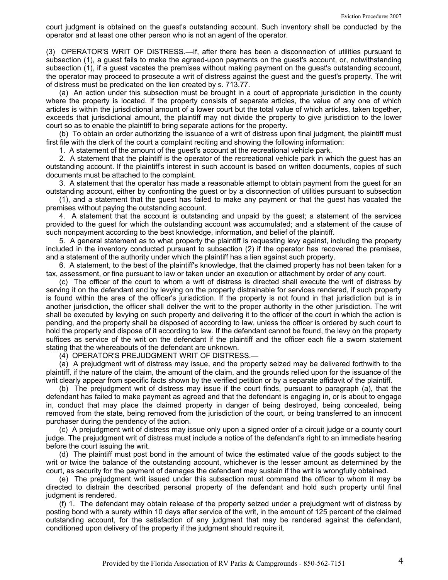court judgment is obtained on the guest's outstanding account. Such inventory shall be conducted by the operator and at least one other person who is not an agent of the operator.

(3) OPERATOR'S WRIT OF DISTRESS.—If, after there has been a disconnection of utilities pursuant to subsection (1), a guest fails to make the agreed-upon payments on the guest's account, or, notwithstanding subsection (1), if a guest vacates the premises without making payment on the guest's outstanding account, the operator may proceed to prosecute a writ of distress against the guest and the guest's property. The writ of distress must be predicated on the lien created by s. 713.77.

 (a) An action under this subsection must be brought in a court of appropriate jurisdiction in the county where the property is located. If the property consists of separate articles, the value of any one of which articles is within the jurisdictional amount of a lower court but the total value of which articles, taken together, exceeds that jurisdictional amount, the plaintiff may not divide the property to give jurisdiction to the lower court so as to enable the plaintiff to bring separate actions for the property.

 (b) To obtain an order authorizing the issuance of a writ of distress upon final judgment, the plaintiff must first file with the clerk of the court a complaint reciting and showing the following information:

1. A statement of the amount of the guest's account at the recreational vehicle park.

 2. A statement that the plaintiff is the operator of the recreational vehicle park in which the guest has an outstanding account. If the plaintiff's interest in such account is based on written documents, copies of such documents must be attached to the complaint.

 3. A statement that the operator has made a reasonable attempt to obtain payment from the guest for an outstanding account, either by confronting the guest or by a disconnection of utilities pursuant to subsection

 (1), and a statement that the guest has failed to make any payment or that the guest has vacated the premises without paying the outstanding account.

 4. A statement that the account is outstanding and unpaid by the guest; a statement of the services provided to the guest for which the outstanding account was accumulated; and a statement of the cause of such nonpayment according to the best knowledge, information, and belief of the plaintiff.

 5. A general statement as to what property the plaintiff is requesting levy against, including the property included in the inventory conducted pursuant to subsection (2) if the operator has recovered the premises, and a statement of the authority under which the plaintiff has a lien against such property.

 6. A statement, to the best of the plaintiff's knowledge, that the claimed property has not been taken for a tax, assessment, or fine pursuant to law or taken under an execution or attachment by order of any court.

 (c) The officer of the court to whom a writ of distress is directed shall execute the writ of distress by serving it on the defendant and by levying on the property distrainable for services rendered, if such property is found within the area of the officer's jurisdiction. If the property is not found in that jurisdiction but is in another jurisdiction, the officer shall deliver the writ to the proper authority in the other jurisdiction. The writ shall be executed by levying on such property and delivering it to the officer of the court in which the action is pending, and the property shall be disposed of according to law, unless the officer is ordered by such court to hold the property and dispose of it according to law. If the defendant cannot be found, the levy on the property suffices as service of the writ on the defendant if the plaintiff and the officer each file a sworn statement stating that the whereabouts of the defendant are unknown.

(4) OPERATOR'S PREJUDGMENT WRIT OF DISTRESS.—

 (a) A prejudgment writ of distress may issue, and the property seized may be delivered forthwith to the plaintiff, if the nature of the claim, the amount of the claim, and the grounds relied upon for the issuance of the writ clearly appear from specific facts shown by the verified petition or by a separate affidavit of the plaintiff.

 (b) The prejudgment writ of distress may issue if the court finds, pursuant to paragraph (a), that the defendant has failed to make payment as agreed and that the defendant is engaging in, or is about to engage in, conduct that may place the claimed property in danger of being destroyed, being concealed, being removed from the state, being removed from the jurisdiction of the court, or being transferred to an innocent purchaser during the pendency of the action.

 (c) A prejudgment writ of distress may issue only upon a signed order of a circuit judge or a county court judge. The prejudgment writ of distress must include a notice of the defendant's right to an immediate hearing before the court issuing the writ.

 (d) The plaintiff must post bond in the amount of twice the estimated value of the goods subject to the writ or twice the balance of the outstanding account, whichever is the lesser amount as determined by the court, as security for the payment of damages the defendant may sustain if the writ is wrongfully obtained.

 (e) The prejudgment writ issued under this subsection must command the officer to whom it may be directed to distrain the described personal property of the defendant and hold such property until final judgment is rendered.

 (f) 1. The defendant may obtain release of the property seized under a prejudgment writ of distress by posting bond with a surety within 10 days after service of the writ, in the amount of 125 percent of the claimed outstanding account, for the satisfaction of any judgment that may be rendered against the defendant, conditioned upon delivery of the property if the judgment should require it.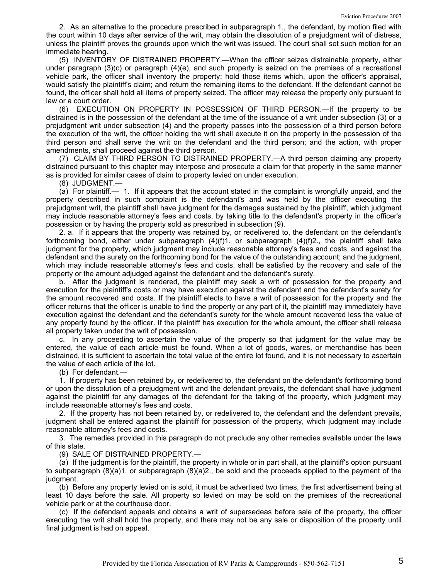2. As an alternative to the procedure prescribed in subparagraph 1., the defendant, by motion filed with the court within 10 days after service of the writ, may obtain the dissolution of a prejudgment writ of distress, unless the plaintiff proves the grounds upon which the writ was issued. The court shall set such motion for an immediate hearing.

 (5) INVENTORY OF DISTRAINED PROPERTY.—When the officer seizes distrainable property, either under paragraph (3)(c) or paragraph (4)(e), and such property is seized on the premises of a recreational vehicle park, the officer shall inventory the property; hold those items which, upon the officer's appraisal, would satisfy the plaintiff's claim; and return the remaining items to the defendant. If the defendant cannot be found, the officer shall hold all items of property seized. The officer may release the property only pursuant to law or a court order.

 (6) EXECUTION ON PROPERTY IN POSSESSION OF THIRD PERSON.—If the property to be distrained is in the possession of the defendant at the time of the issuance of a writ under subsection (3) or a prejudgment writ under subsection (4) and the property passes into the possession of a third person before the execution of the writ, the officer holding the writ shall execute it on the property in the possession of the third person and shall serve the writ on the defendant and the third person; and the action, with proper amendments, shall proceed against the third person.

 (7) CLAIM BY THIRD PERSON TO DISTRAINED PROPERTY.—A third person claiming any property distrained pursuant to this chapter may interpose and prosecute a claim for that property in the same manner as is provided for similar cases of claim to property levied on under execution.

(8) JUDGMENT.—

 (a) For plaintiff.— 1. If it appears that the account stated in the complaint is wrongfully unpaid, and the property described in such complaint is the defendant's and was held by the officer executing the prejudgment writ, the plaintiff shall have judgment for the damages sustained by the plaintiff, which judgment may include reasonable attorney's fees and costs, by taking title to the defendant's property in the officer's possession or by having the property sold as prescribed in subsection (9).

 2. a. If it appears that the property was retained by, or redelivered to, the defendant on the defendant's forthcoming bond, either under subparagraph (4)(f)1. or subparagraph (4)(f)2., the plaintiff shall take judgment for the property, which judgment may include reasonable attorney's fees and costs, and against the defendant and the surety on the forthcoming bond for the value of the outstanding account; and the judgment, which may include reasonable attorney's fees and costs, shall be satisfied by the recovery and sale of the property or the amount adjudged against the defendant and the defendant's surety.

 b. After the judgment is rendered, the plaintiff may seek a writ of possession for the property and execution for the plaintiff's costs or may have execution against the defendant and the defendant's surety for the amount recovered and costs. If the plaintiff elects to have a writ of possession for the property and the officer returns that the officer is unable to find the property or any part of it, the plaintiff may immediately have execution against the defendant and the defendant's surety for the whole amount recovered less the value of any property found by the officer. If the plaintiff has execution for the whole amount, the officer shall release all property taken under the writ of possession.

 c. In any proceeding to ascertain the value of the property so that judgment for the value may be entered, the value of each article must be found. When a lot of goods, wares, or merchandise has been distrained, it is sufficient to ascertain the total value of the entire lot found, and it is not necessary to ascertain the value of each article of the lot.

(b) For defendant.—

 1. If property has been retained by, or redelivered to, the defendant on the defendant's forthcoming bond or upon the dissolution of a prejudgment writ and the defendant prevails, the defendant shall have judgment against the plaintiff for any damages of the defendant for the taking of the property, which judgment may include reasonable attorney's fees and costs.

 2. If the property has not been retained by, or redelivered to, the defendant and the defendant prevails, judgment shall be entered against the plaintiff for possession of the property, which judgment may include reasonable attorney's fees and costs.

 3. The remedies provided in this paragraph do not preclude any other remedies available under the laws of this state.

(9) SALE OF DISTRAINED PROPERTY.—

 (a) If the judgment is for the plaintiff, the property in whole or in part shall, at the plaintiff's option pursuant to subparagraph (8)(a)1. or subparagraph (8)(a)2., be sold and the proceeds applied to the payment of the judgment.

 (b) Before any property levied on is sold, it must be advertised two times, the first advertisement being at least 10 days before the sale. All property so levied on may be sold on the premises of the recreational vehicle park or at the courthouse door.

 (c) If the defendant appeals and obtains a writ of supersedeas before sale of the property, the officer executing the writ shall hold the property, and there may not be any sale or disposition of the property until final judgment is had on appeal.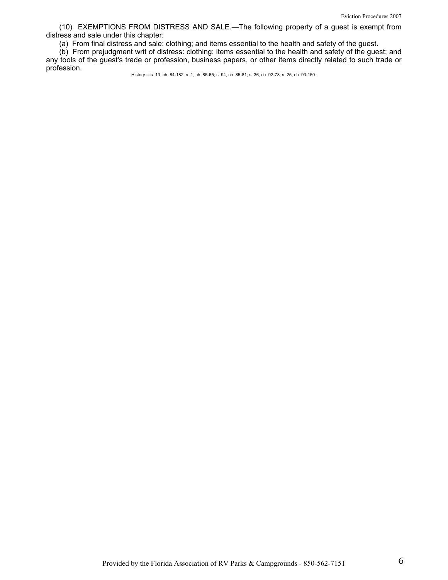(10) EXEMPTIONS FROM DISTRESS AND SALE.—The following property of a guest is exempt from distress and sale under this chapter:

(a) From final distress and sale: clothing; and items essential to the health and safety of the guest.

 (b) From prejudgment writ of distress: clothing; items essential to the health and safety of the guest; and any tools of the guest's trade or profession, business papers, or other items directly related to such trade or profession.

History.—s. 13, ch. 84-182; s. 1, ch. 85-65; s. 94, ch. 85-81; s. 36, ch. 92-78; s. 25, ch. 93-150.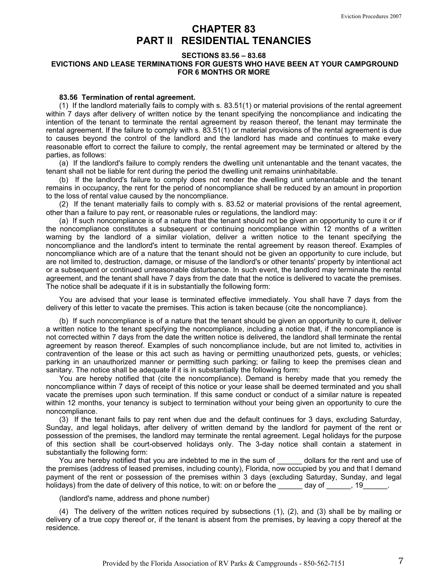# **CHAPTER 83 PART II RESIDENTIAL TENANCIES**

# **SECTIONS 83.56 – 83.68 EVICTIONS AND LEASE TERMINATIONS FOR GUESTS WHO HAVE BEEN AT YOUR CAMPGROUND FOR 6 MONTHS OR MORE**

### **83.56 Termination of rental agreement.**

 (1) If the landlord materially fails to comply with s. 83.51(1) or material provisions of the rental agreement within 7 days after delivery of written notice by the tenant specifying the noncompliance and indicating the intention of the tenant to terminate the rental agreement by reason thereof, the tenant may terminate the rental agreement. If the failure to comply with s. 83.51(1) or material provisions of the rental agreement is due to causes beyond the control of the landlord and the landlord has made and continues to make every reasonable effort to correct the failure to comply, the rental agreement may be terminated or altered by the parties, as follows:

 (a) If the landlord's failure to comply renders the dwelling unit untenantable and the tenant vacates, the tenant shall not be liable for rent during the period the dwelling unit remains uninhabitable.

 (b) If the landlord's failure to comply does not render the dwelling unit untenantable and the tenant remains in occupancy, the rent for the period of noncompliance shall be reduced by an amount in proportion to the loss of rental value caused by the noncompliance.

 (2) If the tenant materially fails to comply with s. 83.52 or material provisions of the rental agreement, other than a failure to pay rent, or reasonable rules or regulations, the landlord may:

 (a) If such noncompliance is of a nature that the tenant should not be given an opportunity to cure it or if the noncompliance constitutes a subsequent or continuing noncompliance within 12 months of a written warning by the landlord of a similar violation, deliver a written notice to the tenant specifying the noncompliance and the landlord's intent to terminate the rental agreement by reason thereof. Examples of noncompliance which are of a nature that the tenant should not be given an opportunity to cure include, but are not limited to, destruction, damage, or misuse of the landlord's or other tenants' property by intentional act or a subsequent or continued unreasonable disturbance. In such event, the landlord may terminate the rental agreement, and the tenant shall have 7 days from the date that the notice is delivered to vacate the premises. The notice shall be adequate if it is in substantially the following form:

 You are advised that your lease is terminated effective immediately. You shall have 7 days from the delivery of this letter to vacate the premises. This action is taken because (cite the noncompliance).

 (b) If such noncompliance is of a nature that the tenant should be given an opportunity to cure it, deliver a written notice to the tenant specifying the noncompliance, including a notice that, if the noncompliance is not corrected within 7 days from the date the written notice is delivered, the landlord shall terminate the rental agreement by reason thereof. Examples of such noncompliance include, but are not limited to, activities in contravention of the lease or this act such as having or permitting unauthorized pets, guests, or vehicles; parking in an unauthorized manner or permitting such parking; or failing to keep the premises clean and sanitary. The notice shall be adequate if it is in substantially the following form:

 You are hereby notified that (cite the noncompliance). Demand is hereby made that you remedy the noncompliance within 7 days of receipt of this notice or your lease shall be deemed terminated and you shall vacate the premises upon such termination. If this same conduct or conduct of a similar nature is repeated within 12 months, your tenancy is subject to termination without your being given an opportunity to cure the noncompliance.

 (3) If the tenant fails to pay rent when due and the default continues for 3 days, excluding Saturday, Sunday, and legal holidays, after delivery of written demand by the landlord for payment of the rent or possession of the premises, the landlord may terminate the rental agreement. Legal holidays for the purpose of this section shall be court-observed holidays only. The 3-day notice shall contain a statement in substantially the following form:

You are hereby notified that you are indebted to me in the sum of \_\_\_\_\_\_ dollars for the rent and use of the premises (address of leased premises, including county), Florida, now occupied by you and that I demand payment of the rent or possession of the premises within 3 days (excluding Saturday, Sunday, and legal holidays) from the date of delivery of this notice, to wit: on or before the \_\_\_\_\_\_ day of \_\_\_\_\_\_, 19\_\_\_

(landlord's name, address and phone number)

 (4) The delivery of the written notices required by subsections (1), (2), and (3) shall be by mailing or delivery of a true copy thereof or, if the tenant is absent from the premises, by leaving a copy thereof at the residence.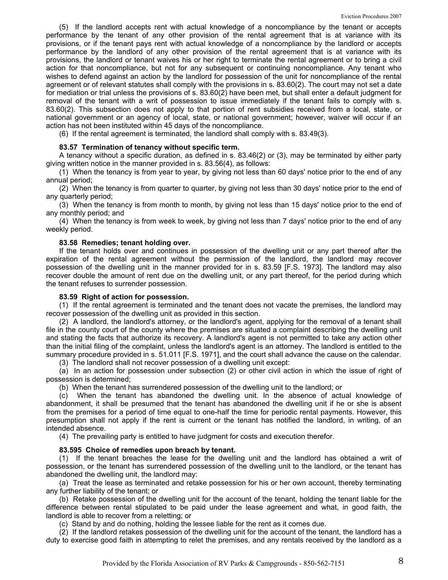(5) If the landlord accepts rent with actual knowledge of a noncompliance by the tenant or accepts performance by the tenant of any other provision of the rental agreement that is at variance with its provisions, or if the tenant pays rent with actual knowledge of a noncompliance by the landlord or accepts performance by the landlord of any other provision of the rental agreement that is at variance with its provisions, the landlord or tenant waives his or her right to terminate the rental agreement or to bring a civil action for that noncompliance, but not for any subsequent or continuing noncompliance. Any tenant who wishes to defend against an action by the landlord for possession of the unit for noncompliance of the rental agreement or of relevant statutes shall comply with the provisions in s. 83.60(2). The court may not set a date for mediation or trial unless the provisions of s. 83.60(2) have been met, but shall enter a default judgment for removal of the tenant with a writ of possession to issue immediately if the tenant fails to comply with s. 83.60(2). This subsection does not apply to that portion of rent subsidies received from a local, state, or national government or an agency of local, state, or national government; however, waiver will occur if an action has not been instituted within 45 days of the noncompliance.

(6) If the rental agreement is terminated, the landlord shall comply with s. 83.49(3).

# **83.57 Termination of tenancy without specific term.**

 A tenancy without a specific duration, as defined in s. 83.46(2) or (3), may be terminated by either party giving written notice in the manner provided in s. 83.56(4), as follows:

 (1) When the tenancy is from year to year, by giving not less than 60 days' notice prior to the end of any annual period;

 (2) When the tenancy is from quarter to quarter, by giving not less than 30 days' notice prior to the end of any quarterly period;

 (3) When the tenancy is from month to month, by giving not less than 15 days' notice prior to the end of any monthly period; and

 (4) When the tenancy is from week to week, by giving not less than 7 days' notice prior to the end of any weekly period.

# **83.58 Remedies; tenant holding over.**

 If the tenant holds over and continues in possession of the dwelling unit or any part thereof after the expiration of the rental agreement without the permission of the landlord, the landlord may recover possession of the dwelling unit in the manner provided for in s. 83.59 [F.S. 1973]. The landlord may also recover double the amount of rent due on the dwelling unit, or any part thereof, for the period during which the tenant refuses to surrender possession.

# **83.59 Right of action for possession.**

 (1) If the rental agreement is terminated and the tenant does not vacate the premises, the landlord may recover possession of the dwelling unit as provided in this section.

 (2) A landlord, the landlord's attorney, or the landlord's agent, applying for the removal of a tenant shall file in the county court of the county where the premises are situated a complaint describing the dwelling unit and stating the facts that authorize its recovery. A landlord's agent is not permitted to take any action other than the initial filing of the complaint, unless the landlord's agent is an attorney. The landlord is entitled to the summary procedure provided in s. 51.011 [F.S. 1971], and the court shall advance the cause on the calendar.

(3) The landlord shall not recover possession of a dwelling unit except:

 (a) In an action for possession under subsection (2) or other civil action in which the issue of right of possession is determined;

(b) When the tenant has surrendered possession of the dwelling unit to the landlord; or

When the tenant has abandoned the dwelling unit. In the absence of actual knowledge of abandonment, it shall be presumed that the tenant has abandoned the dwelling unit if he or she is absent from the premises for a period of time equal to one-half the time for periodic rental payments. However, this presumption shall not apply if the rent is current or the tenant has notified the landlord, in writing, of an intended absence.

(4) The prevailing party is entitled to have judgment for costs and execution therefor.

# **83.595 Choice of remedies upon breach by tenant.**

 (1) If the tenant breaches the lease for the dwelling unit and the landlord has obtained a writ of possession, or the tenant has surrendered possession of the dwelling unit to the landlord, or the tenant has abandoned the dwelling unit, the landlord may:

 (a) Treat the lease as terminated and retake possession for his or her own account, thereby terminating any further liability of the tenant; or

 (b) Retake possession of the dwelling unit for the account of the tenant, holding the tenant liable for the difference between rental stipulated to be paid under the lease agreement and what, in good faith, the landlord is able to recover from a reletting; or

(c) Stand by and do nothing, holding the lessee liable for the rent as it comes due.

(2) If the landlord retakes possession of the dwelling unit for the account of the tenant, the landlord has a duty to exercise good faith in attempting to relet the premises, and any rentals received by the landlord as a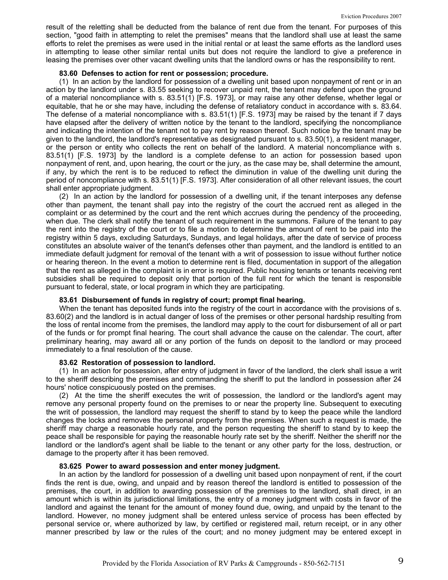result of the reletting shall be deducted from the balance of rent due from the tenant. For purposes of this section, "good faith in attempting to relet the premises" means that the landlord shall use at least the same efforts to relet the premises as were used in the initial rental or at least the same efforts as the landlord uses in attempting to lease other similar rental units but does not require the landlord to give a preference in leasing the premises over other vacant dwelling units that the landlord owns or has the responsibility to rent.

#### **83.60 Defenses to action for rent or possession; procedure.**

 (1) In an action by the landlord for possession of a dwelling unit based upon nonpayment of rent or in an action by the landlord under s. 83.55 seeking to recover unpaid rent, the tenant may defend upon the ground of a material noncompliance with s. 83.51(1) [F.S. 1973], or may raise any other defense, whether legal or equitable, that he or she may have, including the defense of retaliatory conduct in accordance with s. 83.64. The defense of a material noncompliance with s. 83.51(1) [F.S. 1973] may be raised by the tenant if 7 days have elapsed after the delivery of written notice by the tenant to the landlord, specifying the noncompliance and indicating the intention of the tenant not to pay rent by reason thereof. Such notice by the tenant may be given to the landlord, the landlord's representative as designated pursuant to s. 83.50(1), a resident manager, or the person or entity who collects the rent on behalf of the landlord. A material noncompliance with s. 83.51(1) [F.S. 1973] by the landlord is a complete defense to an action for possession based upon nonpayment of rent, and, upon hearing, the court or the jury, as the case may be, shall determine the amount, if any, by which the rent is to be reduced to reflect the diminution in value of the dwelling unit during the period of noncompliance with s. 83.51(1) [F.S. 1973]. After consideration of all other relevant issues, the court shall enter appropriate judgment.

 (2) In an action by the landlord for possession of a dwelling unit, if the tenant interposes any defense other than payment, the tenant shall pay into the registry of the court the accrued rent as alleged in the complaint or as determined by the court and the rent which accrues during the pendency of the proceeding, when due. The clerk shall notify the tenant of such requirement in the summons. Failure of the tenant to pay the rent into the registry of the court or to file a motion to determine the amount of rent to be paid into the registry within 5 days, excluding Saturdays, Sundays, and legal holidays, after the date of service of process constitutes an absolute waiver of the tenant's defenses other than payment, and the landlord is entitled to an immediate default judgment for removal of the tenant with a writ of possession to issue without further notice or hearing thereon. In the event a motion to determine rent is filed, documentation in support of the allegation that the rent as alleged in the complaint is in error is required. Public housing tenants or tenants receiving rent subsidies shall be required to deposit only that portion of the full rent for which the tenant is responsible pursuant to federal, state, or local program in which they are participating.

### **83.61 Disbursement of funds in registry of court; prompt final hearing.**

 When the tenant has deposited funds into the registry of the court in accordance with the provisions of s. 83.60(2) and the landlord is in actual danger of loss of the premises or other personal hardship resulting from the loss of rental income from the premises, the landlord may apply to the court for disbursement of all or part of the funds or for prompt final hearing. The court shall advance the cause on the calendar. The court, after preliminary hearing, may award all or any portion of the funds on deposit to the landlord or may proceed immediately to a final resolution of the cause.

### **83.62 Restoration of possession to landlord.**

 (1) In an action for possession, after entry of judgment in favor of the landlord, the clerk shall issue a writ to the sheriff describing the premises and commanding the sheriff to put the landlord in possession after 24 hours' notice conspicuously posted on the premises.

 (2) At the time the sheriff executes the writ of possession, the landlord or the landlord's agent may remove any personal property found on the premises to or near the property line. Subsequent to executing the writ of possession, the landlord may request the sheriff to stand by to keep the peace while the landlord changes the locks and removes the personal property from the premises. When such a request is made, the sheriff may charge a reasonable hourly rate, and the person requesting the sheriff to stand by to keep the peace shall be responsible for paying the reasonable hourly rate set by the sheriff. Neither the sheriff nor the landlord or the landlord's agent shall be liable to the tenant or any other party for the loss, destruction, or damage to the property after it has been removed.

### **83.625 Power to award possession and enter money judgment.**

 In an action by the landlord for possession of a dwelling unit based upon nonpayment of rent, if the court finds the rent is due, owing, and unpaid and by reason thereof the landlord is entitled to possession of the premises, the court, in addition to awarding possession of the premises to the landlord, shall direct, in an amount which is within its jurisdictional limitations, the entry of a money judgment with costs in favor of the landlord and against the tenant for the amount of money found due, owing, and unpaid by the tenant to the landlord. However, no money judgment shall be entered unless service of process has been effected by personal service or, where authorized by law, by certified or registered mail, return receipt, or in any other manner prescribed by law or the rules of the court; and no money judgment may be entered except in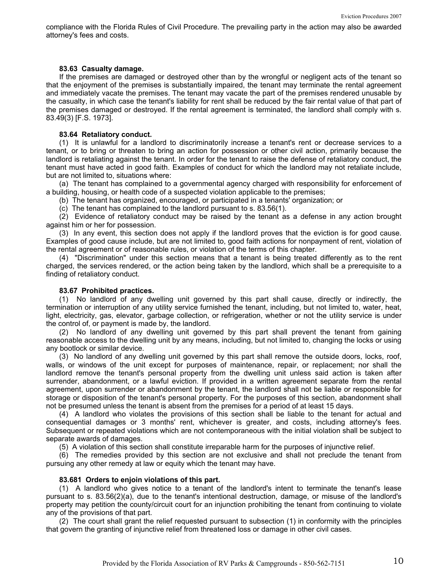compliance with the Florida Rules of Civil Procedure. The prevailing party in the action may also be awarded attorney's fees and costs.

#### **83.63 Casualty damage.**

 If the premises are damaged or destroyed other than by the wrongful or negligent acts of the tenant so that the enjoyment of the premises is substantially impaired, the tenant may terminate the rental agreement and immediately vacate the premises. The tenant may vacate the part of the premises rendered unusable by the casualty, in which case the tenant's liability for rent shall be reduced by the fair rental value of that part of the premises damaged or destroyed. If the rental agreement is terminated, the landlord shall comply with s. 83.49(3) [F.S. 1973].

#### **83.64 Retaliatory conduct.**

 (1) It is unlawful for a landlord to discriminatorily increase a tenant's rent or decrease services to a tenant, or to bring or threaten to bring an action for possession or other civil action, primarily because the landlord is retaliating against the tenant. In order for the tenant to raise the defense of retaliatory conduct, the tenant must have acted in good faith. Examples of conduct for which the landlord may not retaliate include, but are not limited to, situations where:

 (a) The tenant has complained to a governmental agency charged with responsibility for enforcement of a building, housing, or health code of a suspected violation applicable to the premises;

(b) The tenant has organized, encouraged, or participated in a tenants' organization; or

(c) The tenant has complained to the landlord pursuant to s. 83.56(1).

 (2) Evidence of retaliatory conduct may be raised by the tenant as a defense in any action brought against him or her for possession.

 (3) In any event, this section does not apply if the landlord proves that the eviction is for good cause. Examples of good cause include, but are not limited to, good faith actions for nonpayment of rent, violation of the rental agreement or of reasonable rules, or violation of the terms of this chapter.

 (4) "Discrimination" under this section means that a tenant is being treated differently as to the rent charged, the services rendered, or the action being taken by the landlord, which shall be a prerequisite to a finding of retaliatory conduct.

#### **83.67 Prohibited practices.**

 (1) No landlord of any dwelling unit governed by this part shall cause, directly or indirectly, the termination or interruption of any utility service furnished the tenant, including, but not limited to, water, heat, light, electricity, gas, elevator, garbage collection, or refrigeration, whether or not the utility service is under the control of, or payment is made by, the landlord.

 (2) No landlord of any dwelling unit governed by this part shall prevent the tenant from gaining reasonable access to the dwelling unit by any means, including, but not limited to, changing the locks or using any bootlock or similar device.

 (3) No landlord of any dwelling unit governed by this part shall remove the outside doors, locks, roof, walls, or windows of the unit except for purposes of maintenance, repair, or replacement; nor shall the landlord remove the tenant's personal property from the dwelling unit unless said action is taken after surrender, abandonment, or a lawful eviction. If provided in a written agreement separate from the rental agreement, upon surrender or abandonment by the tenant, the landlord shall not be liable or responsible for storage or disposition of the tenant's personal property. For the purposes of this section, abandonment shall not be presumed unless the tenant is absent from the premises for a period of at least 15 days.

 (4) A landlord who violates the provisions of this section shall be liable to the tenant for actual and consequential damages or 3 months' rent, whichever is greater, and costs, including attorney's fees. Subsequent or repeated violations which are not contemporaneous with the initial violation shall be subject to separate awards of damages.

(5) A violation of this section shall constitute irreparable harm for the purposes of injunctive relief.

 (6) The remedies provided by this section are not exclusive and shall not preclude the tenant from pursuing any other remedy at law or equity which the tenant may have.

#### **83.681 Orders to enjoin violations of this part.**

 (1) A landlord who gives notice to a tenant of the landlord's intent to terminate the tenant's lease pursuant to s. 83.56(2)(a), due to the tenant's intentional destruction, damage, or misuse of the landlord's property may petition the county/circuit court for an injunction prohibiting the tenant from continuing to violate any of the provisions of that part.

 (2) The court shall grant the relief requested pursuant to subsection (1) in conformity with the principles that govern the granting of injunctive relief from threatened loss or damage in other civil cases.